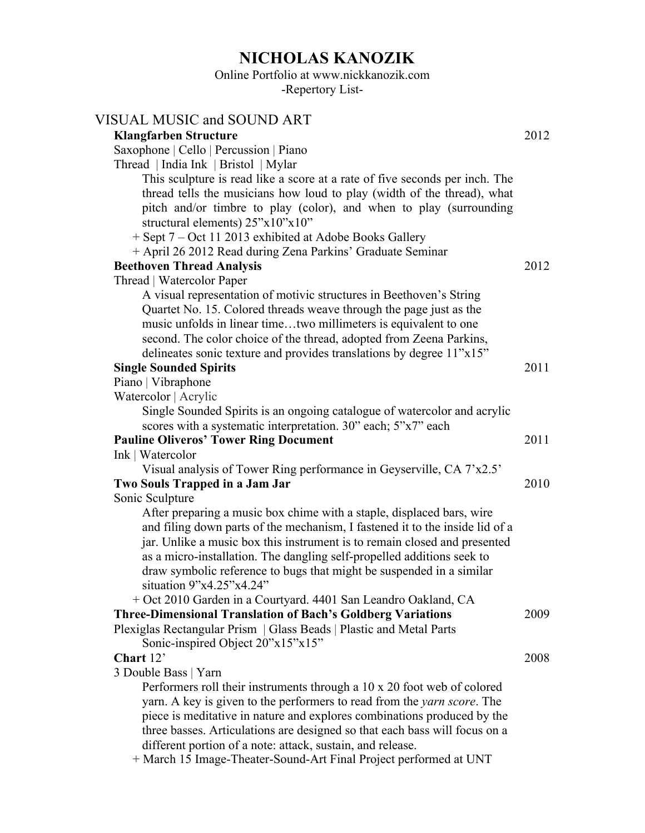# **NICHOLAS KANOZIK**

## Online Portfolio at www.nickkanozik.com

-Repertory List-

| VISUAL MUSIC and SOUND ART                                                                             |      |
|--------------------------------------------------------------------------------------------------------|------|
| <b>Klangfarben Structure</b>                                                                           | 2012 |
| Saxophone   Cello   Percussion   Piano                                                                 |      |
| Thread   India Ink   Bristol   Mylar                                                                   |      |
| This sculpture is read like a score at a rate of five seconds per inch. The                            |      |
| thread tells the musicians how loud to play (width of the thread), what                                |      |
| pitch and/or timbre to play (color), and when to play (surrounding                                     |      |
| structural elements) 25"x10"x10"                                                                       |      |
| + Sept 7 – Oct 11 2013 exhibited at Adobe Books Gallery                                                |      |
| + April 26 2012 Read during Zena Parkins' Graduate Seminar                                             |      |
| <b>Beethoven Thread Analysis</b>                                                                       | 2012 |
| Thread   Watercolor Paper                                                                              |      |
| A visual representation of motivic structures in Beethoven's String                                    |      |
| Quartet No. 15. Colored threads weave through the page just as the                                     |      |
| music unfolds in linear timetwo millimeters is equivalent to one                                       |      |
| second. The color choice of the thread, adopted from Zeena Parkins,                                    |      |
| delineates sonic texture and provides translations by degree 11"x15"                                   |      |
| <b>Single Sounded Spirits</b>                                                                          | 2011 |
| Piano   Vibraphone                                                                                     |      |
| Watercolor   Acrylic                                                                                   |      |
| Single Sounded Spirits is an ongoing catalogue of watercolor and acrylic                               |      |
| scores with a systematic interpretation. 30" each; 5"x7" each                                          |      |
| <b>Pauline Oliveros' Tower Ring Document</b>                                                           | 2011 |
| Ink   Watercolor                                                                                       |      |
| Visual analysis of Tower Ring performance in Geyserville, CA 7'x2.5'<br>Two Souls Trapped in a Jam Jar | 2010 |
|                                                                                                        |      |
| Sonic Sculpture<br>After preparing a music box chime with a staple, displaced bars, wire               |      |
| and filing down parts of the mechanism, I fastened it to the inside lid of a                           |      |
| jar. Unlike a music box this instrument is to remain closed and presented                              |      |
| as a micro-installation. The dangling self-propelled additions seek to                                 |      |
| draw symbolic reference to bugs that might be suspended in a similar                                   |      |
| situation 9"x4.25"x4.24"                                                                               |      |
| + Oct 2010 Garden in a Courtyard. 4401 San Leandro Oakland, CA                                         |      |
| <b>Three-Dimensional Translation of Bach's Goldberg Variations</b>                                     | 2009 |
| Plexiglas Rectangular Prism   Glass Beads   Plastic and Metal Parts                                    |      |
| Sonic-inspired Object 20"x15"x15"                                                                      |      |
| Chart 12'                                                                                              | 2008 |
| 3 Double Bass   Yarn                                                                                   |      |
| Performers roll their instruments through a 10 x 20 foot web of colored                                |      |
| yarn. A key is given to the performers to read from the <i>yarn score</i> . The                        |      |
| piece is meditative in nature and explores combinations produced by the                                |      |
| three basses. Articulations are designed so that each bass will focus on a                             |      |
| different portion of a note: attack, sustain, and release.                                             |      |
| + March 15 Image-Theater-Sound-Art Final Project performed at UNT                                      |      |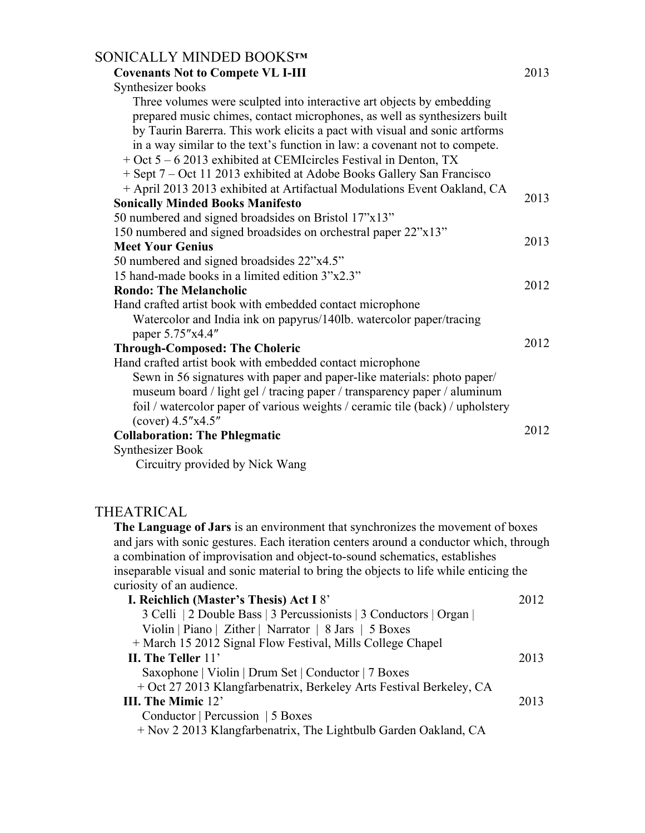| SONICALLY MINDED BOOKS™<br><b>Covenants Not to Compete VL I-III</b>                                                                                                                                                                                                                                                                                                                                                                                                                                                                                          | 2013 |
|--------------------------------------------------------------------------------------------------------------------------------------------------------------------------------------------------------------------------------------------------------------------------------------------------------------------------------------------------------------------------------------------------------------------------------------------------------------------------------------------------------------------------------------------------------------|------|
| Synthesizer books<br>Three volumes were sculpted into interactive art objects by embedding<br>prepared music chimes, contact microphones, as well as synthesizers built<br>by Taurin Barerra. This work elicits a pact with visual and sonic artforms<br>in a way similar to the text's function in law: a covenant not to compete.<br>+ Oct 5 – 6 2013 exhibited at CEMIcircles Festival in Denton, TX<br>+ Sept 7 – Oct 11 2013 exhibited at Adobe Books Gallery San Francisco<br>+ April 2013 2013 exhibited at Artifactual Modulations Event Oakland, CA |      |
| <b>Sonically Minded Books Manifesto</b>                                                                                                                                                                                                                                                                                                                                                                                                                                                                                                                      | 2013 |
| 50 numbered and signed broadsides on Bristol 17"x13"<br>150 numbered and signed broadsides on orchestral paper 22"x13"<br><b>Meet Your Genius</b>                                                                                                                                                                                                                                                                                                                                                                                                            | 2013 |
| 50 numbered and signed broadsides 22"x4.5"<br>15 hand-made books in a limited edition 3"x2.3"                                                                                                                                                                                                                                                                                                                                                                                                                                                                | 2012 |
| <b>Rondo: The Melancholic</b><br>Hand crafted artist book with embedded contact microphone<br>Watercolor and India ink on papyrus/140lb. watercolor paper/tracing                                                                                                                                                                                                                                                                                                                                                                                            |      |
| paper 5.75"x4.4"<br><b>Through-Composed: The Choleric</b>                                                                                                                                                                                                                                                                                                                                                                                                                                                                                                    | 2012 |
| Hand crafted artist book with embedded contact microphone<br>Sewn in 56 signatures with paper and paper-like materials: photo paper/<br>museum board / light gel / tracing paper / transparency paper / aluminum<br>foil / watercolor paper of various weights / ceramic tile (back) / upholstery<br>$(cover)$ 4.5"x4.5"                                                                                                                                                                                                                                     |      |
| <b>Collaboration: The Phlegmatic</b>                                                                                                                                                                                                                                                                                                                                                                                                                                                                                                                         | 2012 |
| <b>Synthesizer Book</b><br>Circuitry provided by Nick Wang                                                                                                                                                                                                                                                                                                                                                                                                                                                                                                   |      |
| THEATRICAL                                                                                                                                                                                                                                                                                                                                                                                                                                                                                                                                                   |      |
| The Language of Jars is an environment that synchronizes the movement of boxes<br>and jars with sonic gestures. Each iteration centers around a conductor which, through<br>a combination of improvisation and object-to-sound schematics, establishes<br>inseparable visual and sonic material to bring the objects to life while enticing the<br>curiosity of an audience.                                                                                                                                                                                 |      |
| I. Reichlich (Master's Thesis) Act I 8'                                                                                                                                                                                                                                                                                                                                                                                                                                                                                                                      | 2012 |
| 2 Celli 12 Double Rass 2 Percussionists 2 Conductors Organ                                                                                                                                                                                                                                                                                                                                                                                                                                                                                                   |      |

| 3 Celli   2 Double Bass   3 Percussionists   3 Conductors   Organ   |      |
|---------------------------------------------------------------------|------|
| Violin   Piano   Zither   Narrator   8 Jars   5 Boxes               |      |
| + March 15 2012 Signal Flow Festival, Mills College Chapel          |      |
| II. The Teller 11'                                                  | 2013 |
| Saxophone   Violin   Drum Set   Conductor   7 Boxes                 |      |
| + Oct 27 2013 Klangfarbenatrix, Berkeley Arts Festival Berkeley, CA |      |
| III. The Mimic 12'                                                  | 2013 |
| Conductor   Percussion   5 Boxes                                    |      |
| + Nov 2 2013 Klangfarbenatrix, The Lightbulb Garden Oakland, CA     |      |
|                                                                     |      |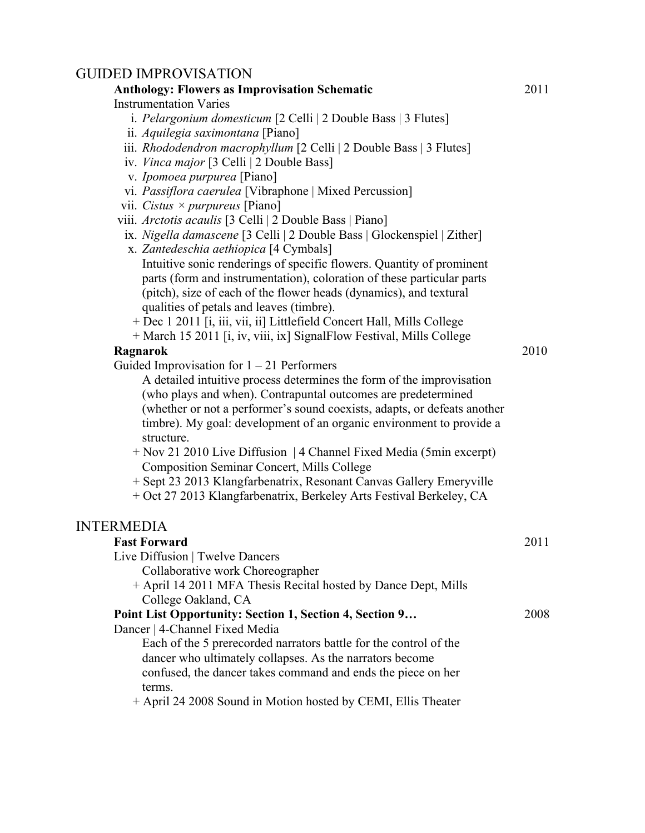### GUIDED IMPROVISATION

#### **Anthology: Flowers as Improvisation Schematic** Instrumentation Varies i. *Pelargonium domesticum* [2 Celli | 2 Double Bass | 3 Flutes] ii. *Aquilegia saximontana* [Piano] iii. *Rhododendron macrophyllum* [2 Celli | 2 Double Bass | 3 Flutes] iv. *Vinca major* [3 Celli | 2 Double Bass] v. *Ipomoea purpurea* [Piano] vi. *Passiflora caerulea* [Vibraphone | Mixed Percussion] vii. *Cistus × purpureus* [Piano] viii. *Arctotis acaulis* [3 Celli | 2 Double Bass | Piano] ix. *Nigella damascene* [3 Celli | 2 Double Bass | Glockenspiel | Zither] x. *Zantedeschia aethiopica* [4 Cymbals] Intuitive sonic renderings of specific flowers. Quantity of prominent parts (form and instrumentation), coloration of these particular parts (pitch), size of each of the flower heads (dynamics), and textural qualities of petals and leaves (timbre). + Dec 1 2011 [i, iii, vii, ii] Littlefield Concert Hall, Mills College + March 15 2011 [i, iv, viii, ix] SignalFlow Festival, Mills College **Ragnarok** Guided Improvisation for  $1 - 21$  Performers A detailed intuitive process determines the form of the improvisation (who plays and when). Contrapuntal outcomes are predetermined (whether or not a performer's sound coexists, adapts, or defeats another timbre). My goal: development of an organic environment to provide a structure. + Nov 21 2010 Live Diffusion | 4 Channel Fixed Media (5min excerpt) Composition Seminar Concert, Mills College + Sept 23 2013 Klangfarbenatrix, Resonant Canvas Gallery Emeryville + Oct 27 2013 Klangfarbenatrix, Berkeley Arts Festival Berkeley, CA 2011 2010 INTERMEDIA **Fast Forward** Live Diffusion | Twelve Dancers Collaborative work Choreographer + April 14 2011 MFA Thesis Recital hosted by Dance Dept, Mills College Oakland, CA **Point List Opportunity: Section 1, Section 4, Section 9…**  Dancer | 4-Channel Fixed Media Each of the 5 prerecorded narrators battle for the control of the dancer who ultimately collapses. As the narrators become confused, the dancer takes command and ends the piece on her terms. + April 24 2008 Sound in Motion hosted by CEMI, Ellis Theater 2011 2008